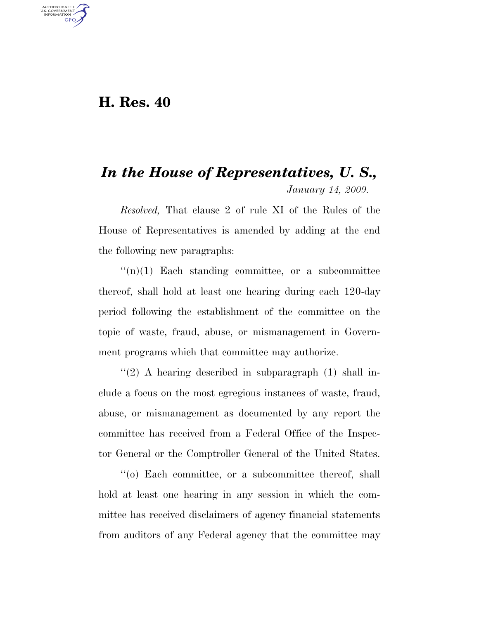## **H. Res. 40**

U.S. GOVERNMENT **GPO** 

## *In the House of Representatives, U. S., January 14, 2009.*

*Resolved,* That clause 2 of rule XI of the Rules of the House of Representatives is amended by adding at the end the following new paragraphs:

 $\binom{1}{r}$  Each standing committee, or a subcommittee thereof, shall hold at least one hearing during each 120-day period following the establishment of the committee on the topic of waste, fraud, abuse, or mismanagement in Government programs which that committee may authorize.

''(2) A hearing described in subparagraph (1) shall include a focus on the most egregious instances of waste, fraud, abuse, or mismanagement as documented by any report the committee has received from a Federal Office of the Inspector General or the Comptroller General of the United States.

''(o) Each committee, or a subcommittee thereof, shall hold at least one hearing in any session in which the committee has received disclaimers of agency financial statements from auditors of any Federal agency that the committee may